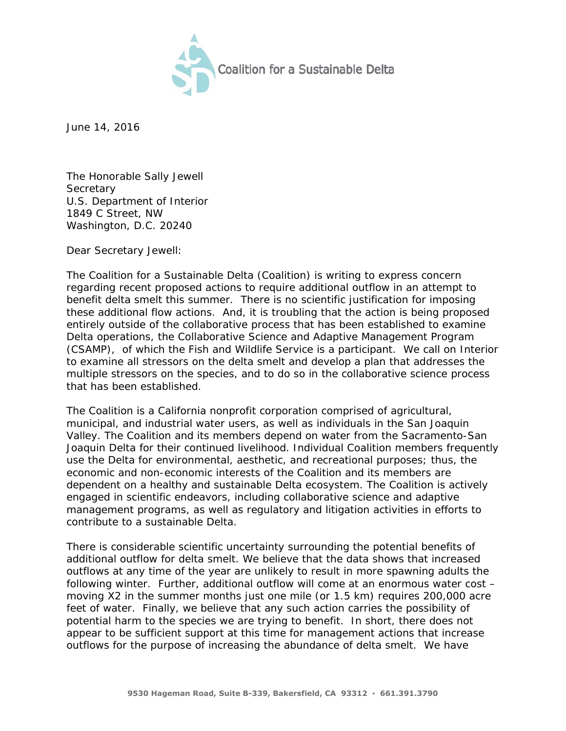

June 14, 2016

The Honorable Sally Jewell **Secretary** U.S. Department of Interior 1849 C Street, NW Washington, D.C. 20240

Dear Secretary Jewell:

The Coalition for a Sustainable Delta (Coalition) is writing to express concern regarding recent proposed actions to require additional outflow in an attempt to benefit delta smelt this summer. There is no scientific justification for imposing these additional flow actions. And, it is troubling that the action is being proposed entirely outside of the collaborative process that has been established to examine Delta operations, the Collaborative Science and Adaptive Management Program (CSAMP), of which the Fish and Wildlife Service is a participant. We call on Interior to examine all stressors on the delta smelt and develop a plan that addresses the multiple stressors on the species, and to do so in the collaborative science process that has been established.

The Coalition is a California nonprofit corporation comprised of agricultural, municipal, and industrial water users, as well as individuals in the San Joaquin Valley. The Coalition and its members depend on water from the Sacramento-San Joaquin Delta for their continued livelihood. Individual Coalition members frequently use the Delta for environmental, aesthetic, and recreational purposes; thus, the economic and non-economic interests of the Coalition and its members are dependent on a healthy and sustainable Delta ecosystem. The Coalition is actively engaged in scientific endeavors, including collaborative science and adaptive management programs, as well as regulatory and litigation activities in efforts to contribute to a sustainable Delta.

There is considerable scientific uncertainty surrounding the potential benefits of additional outflow for delta smelt. We believe that the data shows that increased outflows at any time of the year are unlikely to result in more spawning adults the following winter. Further, additional outflow will come at an enormous water cost – moving X2 in the summer months just one mile (or 1.5 km) requires 200,000 acre feet of water. Finally, we believe that any such action carries the possibility of potential harm to the species we are trying to benefit. In short, there does not appear to be sufficient support at this time for management actions that increase outflows for the purpose of increasing the abundance of delta smelt. We have